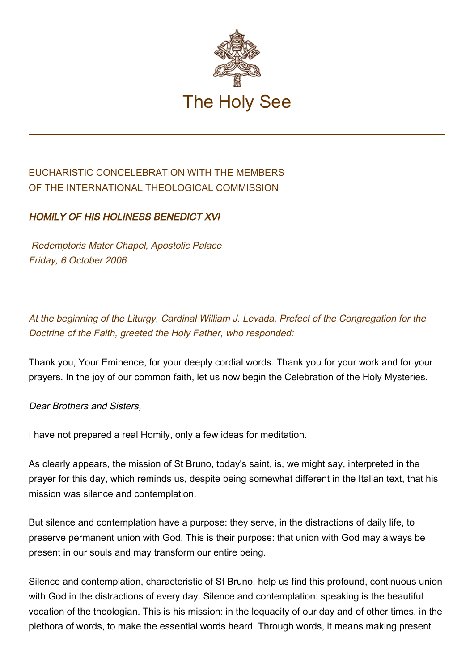

## EUCHARISTIC CONCELEBRATION WITH THE MEMBERS OF THE INTERNATIONAL THEOLOGICAL COMMISSION

## HOMILY OF HIS HOLINESS BENEDICT XVI

 Redemptoris Mater Chapel, Apostolic Palace Friday, 6 October 2006

At the beginning of the Liturgy, Cardinal William J. Levada, Prefect of the Congregation for the Doctrine of the Faith, greeted the Holy Father, who responded:

Thank you, Your Eminence, for your deeply cordial words. Thank you for your work and for your prayers. In the joy of our common faith, let us now begin the Celebration of the Holy Mysteries.

Dear Brothers and Sisters,

I have not prepared a real Homily, only a few ideas for meditation.

As clearly appears, the mission of St Bruno, today's saint, is, we might say, interpreted in the prayer for this day, which reminds us, despite being somewhat different in the Italian text, that his mission was silence and contemplation.

But silence and contemplation have a purpose: they serve, in the distractions of daily life, to preserve permanent union with God. This is their purpose: that union with God may always be present in our souls and may transform our entire being.

Silence and contemplation, characteristic of St Bruno, help us find this profound, continuous union with God in the distractions of every day. Silence and contemplation: speaking is the beautiful vocation of the theologian. This is his mission: in the loquacity of our day and of other times, in the plethora of words, to make the essential words heard. Through words, it means making present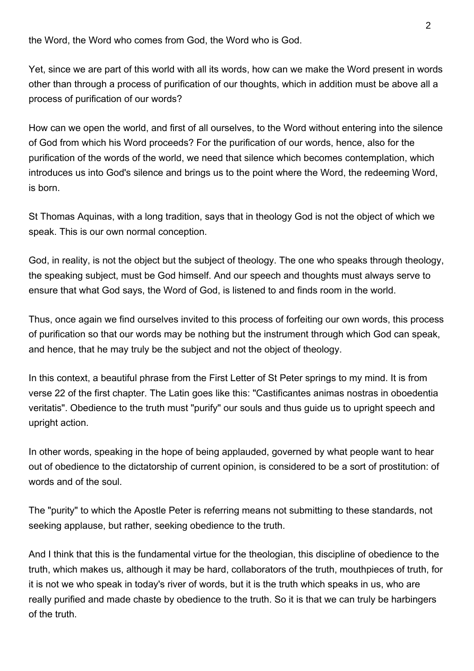the Word, the Word who comes from God, the Word who is God.

Yet, since we are part of this world with all its words, how can we make the Word present in words other than through a process of purification of our thoughts, which in addition must be above all a process of purification of our words?

How can we open the world, and first of all ourselves, to the Word without entering into the silence of God from which his Word proceeds? For the purification of our words, hence, also for the purification of the words of the world, we need that silence which becomes contemplation, which introduces us into God's silence and brings us to the point where the Word, the redeeming Word, is born.

St Thomas Aquinas, with a long tradition, says that in theology God is not the object of which we speak. This is our own normal conception.

God, in reality, is not the object but the subject of theology. The one who speaks through theology, the speaking subject, must be God himself. And our speech and thoughts must always serve to ensure that what God says, the Word of God, is listened to and finds room in the world.

Thus, once again we find ourselves invited to this process of forfeiting our own words, this process of purification so that our words may be nothing but the instrument through which God can speak, and hence, that he may truly be the subject and not the object of theology.

In this context, a beautiful phrase from the First Letter of St Peter springs to my mind. It is from verse 22 of the first chapter. The Latin goes like this: "Castificantes animas nostras in oboedentia veritatis". Obedience to the truth must "purify" our souls and thus guide us to upright speech and upright action.

In other words, speaking in the hope of being applauded, governed by what people want to hear out of obedience to the dictatorship of current opinion, is considered to be a sort of prostitution: of words and of the soul.

The "purity" to which the Apostle Peter is referring means not submitting to these standards, not seeking applause, but rather, seeking obedience to the truth.

And I think that this is the fundamental virtue for the theologian, this discipline of obedience to the truth, which makes us, although it may be hard, collaborators of the truth, mouthpieces of truth, for it is not we who speak in today's river of words, but it is the truth which speaks in us, who are really purified and made chaste by obedience to the truth. So it is that we can truly be harbingers of the truth.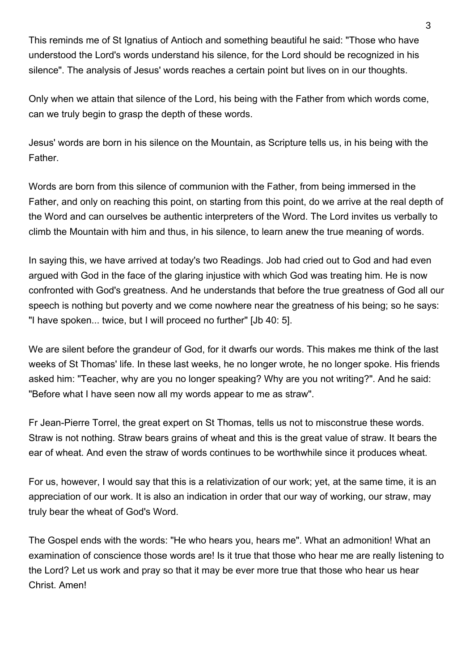This reminds me of St Ignatius of Antioch and something beautiful he said: "Those who have understood the Lord's words understand his silence, for the Lord should be recognized in his silence". The analysis of Jesus' words reaches a certain point but lives on in our thoughts.

Only when we attain that silence of the Lord, his being with the Father from which words come, can we truly begin to grasp the depth of these words.

Jesus' words are born in his silence on the Mountain, as Scripture tells us, in his being with the Father.

Words are born from this silence of communion with the Father, from being immersed in the Father, and only on reaching this point, on starting from this point, do we arrive at the real depth of the Word and can ourselves be authentic interpreters of the Word. The Lord invites us verbally to climb the Mountain with him and thus, in his silence, to learn anew the true meaning of words.

In saying this, we have arrived at today's two Readings. Job had cried out to God and had even argued with God in the face of the glaring injustice with which God was treating him. He is now confronted with God's greatness. And he understands that before the true greatness of God all our speech is nothing but poverty and we come nowhere near the greatness of his being; so he says: "I have spoken... twice, but I will proceed no further" [Jb 40: 5].

We are silent before the grandeur of God, for it dwarfs our words. This makes me think of the last weeks of St Thomas' life. In these last weeks, he no longer wrote, he no longer spoke. His friends asked him: "Teacher, why are you no longer speaking? Why are you not writing?". And he said: "Before what I have seen now all my words appear to me as straw".

Fr Jean-Pierre Torrel, the great expert on St Thomas, tells us not to misconstrue these words. Straw is not nothing. Straw bears grains of wheat and this is the great value of straw. It bears the ear of wheat. And even the straw of words continues to be worthwhile since it produces wheat.

For us, however, I would say that this is a relativization of our work; yet, at the same time, it is an appreciation of our work. It is also an indication in order that our way of working, our straw, may truly bear the wheat of God's Word.

The Gospel ends with the words: "He who hears you, hears me". What an admonition! What an examination of conscience those words are! Is it true that those who hear me are really listening to the Lord? Let us work and pray so that it may be ever more true that those who hear us hear Christ. Amen!